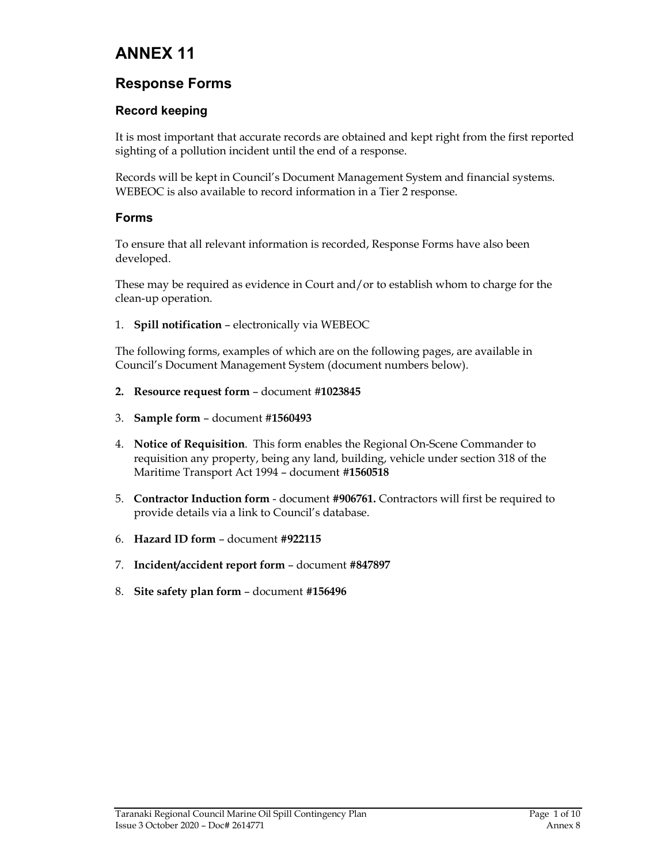# ANNEX 11

## Response Forms

### Record keeping

It is most important that accurate records are obtained and kept right from the first reported sighting of a pollution incident until the end of a response.

Records will be kept in Council's Document Management System and financial systems. WEBEOC is also available to record information in a Tier 2 response.

#### Forms

To ensure that all relevant information is recorded, Response Forms have also been developed.

These may be required as evidence in Court and/or to establish whom to charge for the clean-up operation.

1. Spill notification – electronically via WEBEOC

The following forms, examples of which are on the following pages, are available in Council's Document Management System (document numbers below).

- 2. Resource request form document #1023845
- 3. Sample form document #1560493
- 4. Notice of Requisition. This form enables the Regional On-Scene Commander to requisition any property, being any land, building, vehicle under section 318 of the Maritime Transport Act 1994 – document #1560518
- 5. Contractor Induction form document #906761. Contractors will first be required to provide details via a link to Council's database.
- 6. Hazard ID form document #922115
- 7. Incident/accident report form document #847897
- 8. Site safety plan form document #156496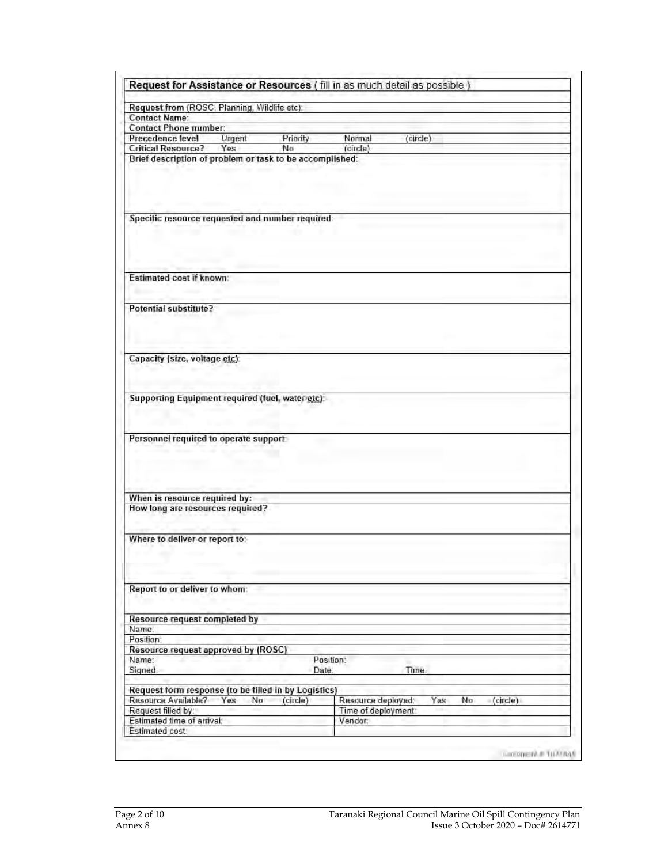| Request from (ROSC, Planning, Wildlife etc):                                                                                                                                                                                                                                                         |               |          |                     |          |                |  |
|------------------------------------------------------------------------------------------------------------------------------------------------------------------------------------------------------------------------------------------------------------------------------------------------------|---------------|----------|---------------------|----------|----------------|--|
| <b>Contact Name:</b>                                                                                                                                                                                                                                                                                 |               |          |                     |          |                |  |
| Contact Phone number:                                                                                                                                                                                                                                                                                |               |          |                     |          |                |  |
| Precedence level                                                                                                                                                                                                                                                                                     | <b>Urgent</b> | Priority | Normal              | (circle) |                |  |
| <b>Critical Resource?</b><br>Brief description of problem or task to be accomplished:                                                                                                                                                                                                                | Yes           | No       | (circle)            |          |                |  |
|                                                                                                                                                                                                                                                                                                      |               |          |                     |          |                |  |
|                                                                                                                                                                                                                                                                                                      |               |          |                     |          |                |  |
| Specific resource requested and number required:                                                                                                                                                                                                                                                     |               |          |                     |          |                |  |
|                                                                                                                                                                                                                                                                                                      |               |          |                     |          |                |  |
| <b>Estimated cost if known:</b>                                                                                                                                                                                                                                                                      |               |          |                     |          |                |  |
| Potential substitute?                                                                                                                                                                                                                                                                                |               |          |                     |          |                |  |
|                                                                                                                                                                                                                                                                                                      |               |          |                     |          |                |  |
| Capacity (size, voltage etc).                                                                                                                                                                                                                                                                        |               |          |                     |          |                |  |
|                                                                                                                                                                                                                                                                                                      |               |          |                     |          |                |  |
| Supporting Equipment required (fuel, water etc):                                                                                                                                                                                                                                                     |               |          |                     |          |                |  |
| Personnel required to operate support                                                                                                                                                                                                                                                                |               |          |                     |          |                |  |
|                                                                                                                                                                                                                                                                                                      |               |          |                     |          |                |  |
|                                                                                                                                                                                                                                                                                                      |               |          |                     |          |                |  |
| When is resource required by:<br>How long are resources required?                                                                                                                                                                                                                                    |               |          |                     |          |                |  |
| Where to deliver or report to:                                                                                                                                                                                                                                                                       |               |          |                     |          |                |  |
|                                                                                                                                                                                                                                                                                                      |               |          |                     |          |                |  |
|                                                                                                                                                                                                                                                                                                      |               |          |                     |          |                |  |
|                                                                                                                                                                                                                                                                                                      |               |          |                     |          |                |  |
|                                                                                                                                                                                                                                                                                                      |               |          |                     |          |                |  |
|                                                                                                                                                                                                                                                                                                      |               |          |                     |          |                |  |
|                                                                                                                                                                                                                                                                                                      |               |          |                     |          |                |  |
|                                                                                                                                                                                                                                                                                                      |               |          |                     |          |                |  |
|                                                                                                                                                                                                                                                                                                      |               |          | Position:           |          |                |  |
|                                                                                                                                                                                                                                                                                                      |               | Date:    |                     | Time:    |                |  |
|                                                                                                                                                                                                                                                                                                      |               |          |                     |          |                |  |
|                                                                                                                                                                                                                                                                                                      | Yes<br>No     | (circle) | Resource deployed:  | Yes      | No<br>(circle) |  |
|                                                                                                                                                                                                                                                                                                      |               |          | Time of deployment: |          |                |  |
| Report to or deliver to whom:<br>Resource request completed by<br>Name:<br>Position:<br>Resource request approved by (ROSC)<br>Name:<br>Signed:<br>Request form response (to be filled in by Logistics)<br>Resource Available?<br>Request filled by:<br>Estimated time of arrival:<br>Estimated cost |               |          | Vendor:             |          |                |  |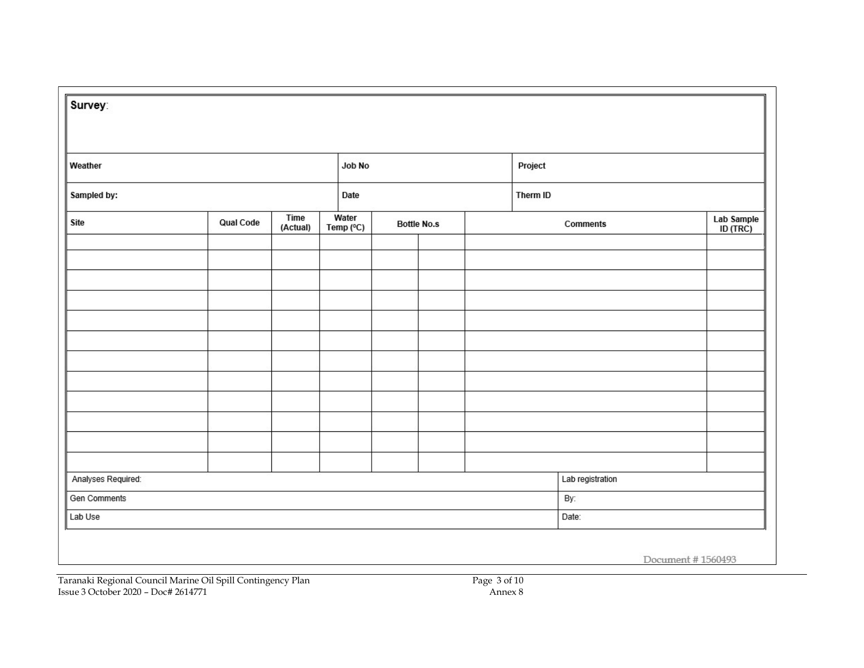| Weather            |           |                  |                    | Job No |                    |  | Project         |                        |  |
|--------------------|-----------|------------------|--------------------|--------|--------------------|--|-----------------|------------------------|--|
| Sampled by:        |           |                  | Date               |        |                    |  | Therm ID        |                        |  |
| Site               | Qual Code | Time<br>(Actual) | Water<br>Temp (°C) |        | <b>Bottle No.s</b> |  | <b>Comments</b> | Lab Sample<br>ID (TRC) |  |
|                    |           |                  |                    |        |                    |  |                 |                        |  |
|                    |           |                  |                    |        |                    |  |                 |                        |  |
|                    |           |                  |                    |        |                    |  |                 |                        |  |
|                    |           |                  |                    |        |                    |  |                 |                        |  |
|                    |           |                  |                    |        |                    |  |                 |                        |  |
|                    |           |                  |                    |        |                    |  |                 |                        |  |
|                    |           |                  |                    |        |                    |  |                 |                        |  |
|                    |           |                  |                    |        |                    |  |                 |                        |  |
|                    |           |                  |                    |        |                    |  |                 |                        |  |
|                    |           |                  |                    |        |                    |  |                 |                        |  |
|                    |           |                  |                    |        |                    |  |                 |                        |  |
|                    |           |                  |                    |        |                    |  |                 |                        |  |
| Analyses Required: |           |                  |                    |        | Lab registration   |  |                 |                        |  |
| Gen Comments       |           |                  |                    |        |                    |  | By:             |                        |  |
| Lab Use            |           |                  |                    |        |                    |  | Date:           |                        |  |

Taranaki Regional Council Marine Oil Spill Contingency Plan Page 1988 and Page 3 of 10 Issue 3 October 2020 – Doc# 2614771 Annex 8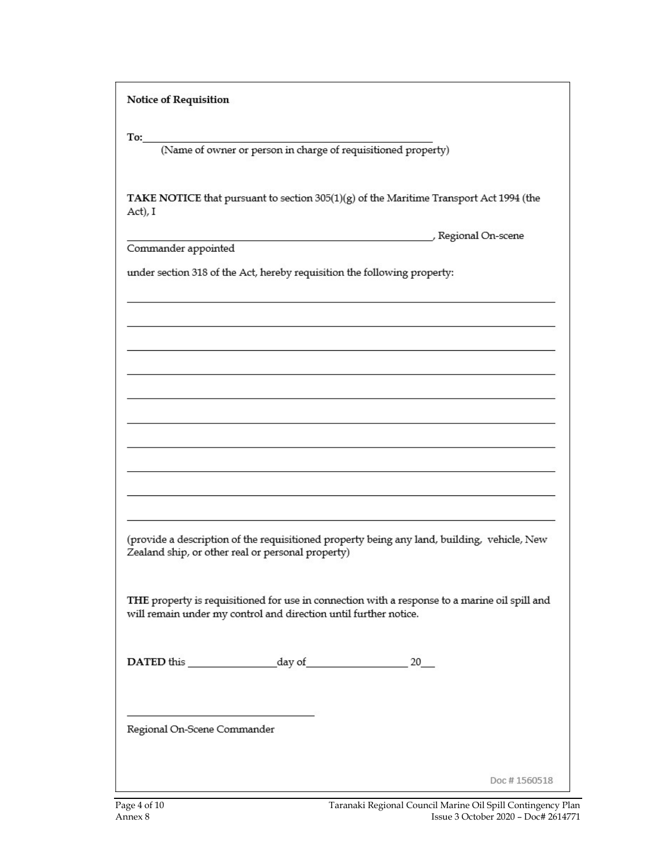**Notice of Requisition** 

To:

(Name of owner or person in charge of requisitioned property)

TAKE NOTICE that pursuant to section 305(1)(g) of the Maritime Transport Act 1994 (the Act), I

Commander appointed

Regional On-scene

under section 318 of the Act, hereby requisition the following property:

(provide a description of the requisitioned property being any land, building, vehicle, New Zealand ship, or other real or personal property)

THE property is requisitioned for use in connection with a response to a marine oil spill and will remain under my control and direction until further notice.

DATED this day of 20

Regional On-Scene Commander

Doc #1560518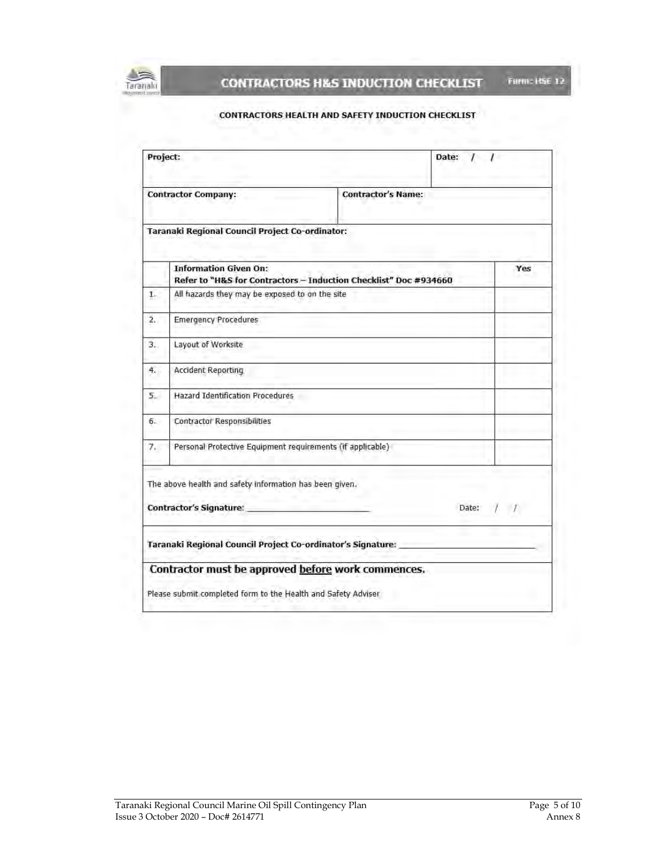

#### CONTRACTORS HEALTH AND SAFETY INDUCTION CHECKLIST

|    | Project:                                                                                         | Date: $11$                |  |           |  |
|----|--------------------------------------------------------------------------------------------------|---------------------------|--|-----------|--|
|    | <b>Contractor Company:</b>                                                                       | <b>Contractor's Name:</b> |  |           |  |
|    | Taranaki Regional Council Project Co-ordinator:                                                  |                           |  |           |  |
|    | <b>Information Given On:</b><br>Refer to "H&S for Contractors - Induction Checklist" Doc #934660 |                           |  | Yes       |  |
| 1. | All hazards they may be exposed to on the site                                                   |                           |  |           |  |
| 2. | <b>Emergency Procedures</b>                                                                      |                           |  |           |  |
| 3. | Layout of Worksite                                                                               |                           |  |           |  |
| 4. | Accident Reporting                                                                               |                           |  |           |  |
| 5. | <b>Hazard Identification Procedures</b>                                                          |                           |  |           |  |
| 6. | <b>Contractor Responsibilities</b>                                                               |                           |  |           |  |
| 7. | Personal Protective Equipment requirements (if applicable)                                       |                           |  |           |  |
|    | The above health and safety information has been given.                                          |                           |  |           |  |
|    | <b>Contractor's Signature:</b>                                                                   |                           |  | Date: / / |  |
|    | Taranaki Regional Council Project Co-ordinator's Signature:                                      |                           |  |           |  |
|    | Contractor must be approved before work commences.                                               |                           |  |           |  |
|    |                                                                                                  |                           |  |           |  |
|    | Please submit completed form to the Health and Safety Adviser                                    |                           |  |           |  |

Form: HSE 12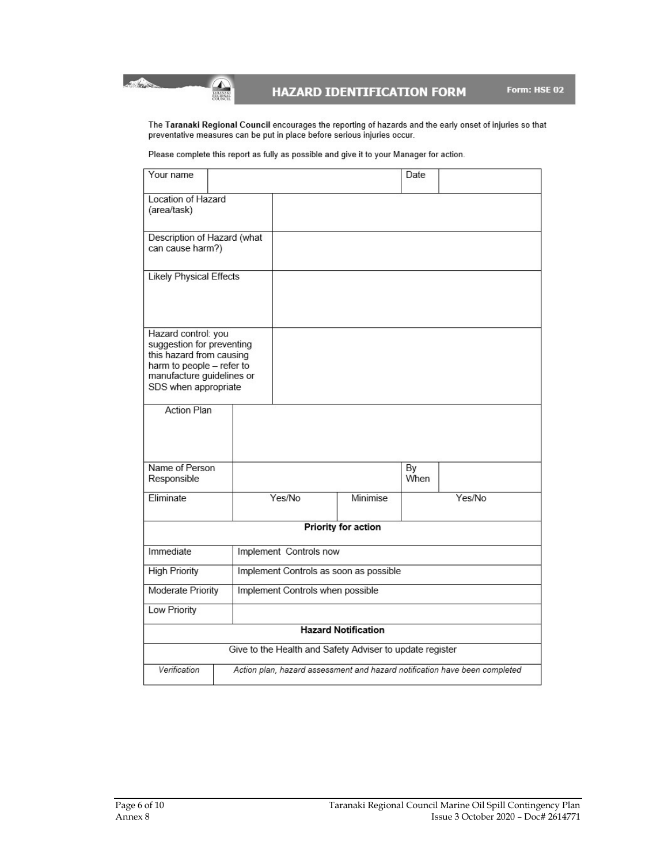**HAZARD IDENTIFICATION FORM** 

The Taranaki Regional Council encourages the reporting of hazards and the early onset of injuries so that<br>preventative measures can be put in place before serious injuries occur.

Please complete this report as fully as possible and give it to your Manager for action.

**All Commercial Commercial** 

 $\begin{picture}(20,20) \put(0,0){\line(1,0){155}} \put(15,0){\line(1,0){155}} \put(15,0){\line(1,0){155}} \put(15,0){\line(1,0){155}} \put(15,0){\line(1,0){155}} \put(15,0){\line(1,0){155}} \put(15,0){\line(1,0){155}} \put(15,0){\line(1,0){155}} \put(15,0){\line(1,0){155}} \put(15,0){\line(1,0){155}} \put(15,0){\line(1,0){155}} \$ 

| Your name                                                                                                                                                      |                                                                            |  |                                                          |                            | Date       |        |
|----------------------------------------------------------------------------------------------------------------------------------------------------------------|----------------------------------------------------------------------------|--|----------------------------------------------------------|----------------------------|------------|--------|
| Location of Hazard<br>(area/task)                                                                                                                              |                                                                            |  |                                                          |                            |            |        |
| Description of Hazard (what<br>can cause harm?)                                                                                                                |                                                                            |  |                                                          |                            |            |        |
| <b>Likely Physical Effects</b>                                                                                                                                 |                                                                            |  |                                                          |                            |            |        |
| Hazard control: you<br>suggestion for preventing<br>this hazard from causing<br>harm to people - refer to<br>manufacture guidelines or<br>SDS when appropriate |                                                                            |  |                                                          |                            |            |        |
| <b>Action Plan</b>                                                                                                                                             |                                                                            |  |                                                          |                            |            |        |
| Name of Person<br>Responsible                                                                                                                                  |                                                                            |  |                                                          |                            | By<br>When |        |
| <b>Eliminate</b>                                                                                                                                               |                                                                            |  | Yes/No                                                   | Minimise                   |            | Yes/No |
|                                                                                                                                                                |                                                                            |  |                                                          | Priority for action        |            |        |
| Immediate                                                                                                                                                      | Implement Controls now                                                     |  |                                                          |                            |            |        |
| Implement Controls as soon as possible<br><b>High Priority</b>                                                                                                 |                                                                            |  |                                                          |                            |            |        |
| Moderate Priority<br>Implement Controls when possible                                                                                                          |                                                                            |  |                                                          |                            |            |        |
| Low Priority                                                                                                                                                   |                                                                            |  |                                                          |                            |            |        |
|                                                                                                                                                                |                                                                            |  |                                                          | <b>Hazard Notification</b> |            |        |
|                                                                                                                                                                |                                                                            |  | Give to the Health and Safety Adviser to update register |                            |            |        |
| Verification                                                                                                                                                   | Action plan, hazard assessment and hazard notification have been completed |  |                                                          |                            |            |        |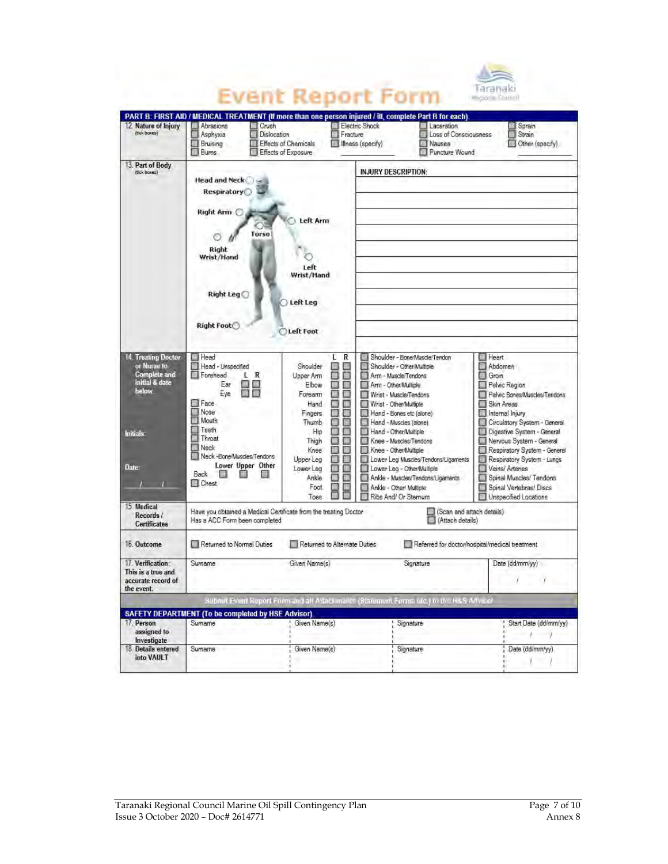|                                                                                                             |                                                                                                                                                                                                                          |                                                                                                                                                                                                                                                                                       | Event Report Form                                                                                                                                                                                                                                                                                                                                                                                                                                             | Taranaki<br>Ricional Dati of                                                                                                                                                                                                                                                                                                                                                 |
|-------------------------------------------------------------------------------------------------------------|--------------------------------------------------------------------------------------------------------------------------------------------------------------------------------------------------------------------------|---------------------------------------------------------------------------------------------------------------------------------------------------------------------------------------------------------------------------------------------------------------------------------------|---------------------------------------------------------------------------------------------------------------------------------------------------------------------------------------------------------------------------------------------------------------------------------------------------------------------------------------------------------------------------------------------------------------------------------------------------------------|------------------------------------------------------------------------------------------------------------------------------------------------------------------------------------------------------------------------------------------------------------------------------------------------------------------------------------------------------------------------------|
| 12. Nature of Injury<br>(tick boxes)                                                                        | Abrasions<br><b>Crush</b><br><b>Dislocation</b><br>Asphyxia<br>Bruising<br>Burns                                                                                                                                         | Fracture<br><b>Effects of Chemicals</b><br>Effects of Exposure                                                                                                                                                                                                                        | PART B: FIRST AID / MEDICAL TREATMENT (If more than one person injured / ill, complete Part B for each).<br>Electric Shock<br>Laceration<br>Loss of Consciousness<br>m<br>Illness (specify)<br>Nausea<br>Puncture Wound                                                                                                                                                                                                                                       | Sprain<br>$\Box$ Strain<br>Other (specify)                                                                                                                                                                                                                                                                                                                                   |
| 13. Part of Body<br>(tick boxes)                                                                            | <b>Head and Neck</b><br>Respiratory<br>Right Arm C<br>Torso<br>Right<br>Wrist/Hand<br>Right Leg<br><b>Right Foot</b>                                                                                                     | Left Arm<br>Left<br>Wrist/Hand<br>Left Leg<br>Left Foot                                                                                                                                                                                                                               | <b>INJURY DESCRIPTION:</b>                                                                                                                                                                                                                                                                                                                                                                                                                                    |                                                                                                                                                                                                                                                                                                                                                                              |
| 14. Treating Doctor<br>or Nurse to<br>Complete and<br>initial & date<br>below.<br><b>Initials:</b><br>Date: | Head<br>Head - Unspecified<br>Forehead<br>L R<br><b>IN DR</b><br>Ear<br><b>用 用</b><br>Eve<br>Face<br>Nose<br>Mouth<br>Teeth<br>Throat<br>Neck<br>Neck -Bone/Muscles/Tendons<br>Lower Upper Other<br>Back<br><b>Chest</b> | R<br>L<br>π<br>Shoulder<br>■<br>◫<br>Upper Arm<br>П<br>Elbow<br>π<br>Ш<br>Forearm<br>Π<br>Hand<br>□<br>с<br>n<br>Fingers<br>E<br>n<br>Thumb<br>Π<br>П<br>Hip<br>Ш<br>□<br>Thigh<br>Ξ<br>n.<br>Knee<br>B<br>⊓<br>Upper Leg<br>П<br>ш<br>Lower Lea<br>用田田<br>Ankle<br>□<br>Foot<br>Toes | Shoulder - Bone/Muscle/Tendon<br>Shoulder - Othen Multiple<br>Arm - Muscle/Tendons<br>Arm - Other/Multiple<br>Wrist - Muscle/Tendons<br>Wrist - Other/Multiple<br>Hand - Bones etc (alone)<br>Hand - Muscles (alone)<br>Hand - Other/Multiple<br>Knee - Muscles/Tendons<br>Knee - Other/Multiple<br>Lower Leg Muscles/Tendons/Ligaments<br>Lower Leg - Other/Multiple<br>Ankle - Muscles/Tendons/Ligaments<br>Ankle - Other/ Multiple:<br>Ribs And/ Or Stemum | <b>E</b> Heart<br>Abdomen<br>Groin<br>Pelvic Region<br>Pelvic Bones/Muscles/Tendons<br>Skin Areas<br>Internal Injury<br>Circulatory System - General<br>Digestive System - General<br>Nervous System - General<br>Respiratory System - General<br>Respiratory System - Lungs<br>Veins/ Artenes<br>Spinal Muscles/Tendons<br>Spinal Vertebrae/ Discs<br>Unspecified Locations |
| 15 Medical<br>Records /<br><b>Certificates</b>                                                              | Have you obtained a Medical Certificate from the treating Doctor<br>Has a ACC Form been completed                                                                                                                        |                                                                                                                                                                                                                                                                                       | (Attach details)                                                                                                                                                                                                                                                                                                                                                                                                                                              | (Scan and attach details)                                                                                                                                                                                                                                                                                                                                                    |
| 16. Outcome                                                                                                 | Returned to Normal Duties                                                                                                                                                                                                | Returned to Alternate Duties                                                                                                                                                                                                                                                          |                                                                                                                                                                                                                                                                                                                                                                                                                                                               | Referred for doctor/nospital/medical treatment                                                                                                                                                                                                                                                                                                                               |
| 17. Verification:<br>This is a true and<br>accurate record of<br>the event.                                 | Surname                                                                                                                                                                                                                  | Given Name(s)                                                                                                                                                                                                                                                                         | Signature                                                                                                                                                                                                                                                                                                                                                                                                                                                     | Date (dd/mm/yy)<br>$\mathcal{I}$                                                                                                                                                                                                                                                                                                                                             |
|                                                                                                             |                                                                                                                                                                                                                          |                                                                                                                                                                                                                                                                                       | Submit Event Report Form and all Attachments (Statement Forms etc.) to the HSS Artised                                                                                                                                                                                                                                                                                                                                                                        |                                                                                                                                                                                                                                                                                                                                                                              |
|                                                                                                             | SAFETY DEPARTMENT (To be completed by HSE Advisor).                                                                                                                                                                      |                                                                                                                                                                                                                                                                                       |                                                                                                                                                                                                                                                                                                                                                                                                                                                               |                                                                                                                                                                                                                                                                                                                                                                              |
| 17. Person<br>assigned to<br>Investigate                                                                    | Surname                                                                                                                                                                                                                  | Given Name(s)                                                                                                                                                                                                                                                                         | Signature                                                                                                                                                                                                                                                                                                                                                                                                                                                     | Start Date (dd/mm/yy)<br>N.                                                                                                                                                                                                                                                                                                                                                  |
| 18. Details entered<br>into VAULT                                                                           | Surname                                                                                                                                                                                                                  | Given Name(s)                                                                                                                                                                                                                                                                         | Signature                                                                                                                                                                                                                                                                                                                                                                                                                                                     | Date (dd/mm/yy)<br>- 7.                                                                                                                                                                                                                                                                                                                                                      |

 $\rightarrow$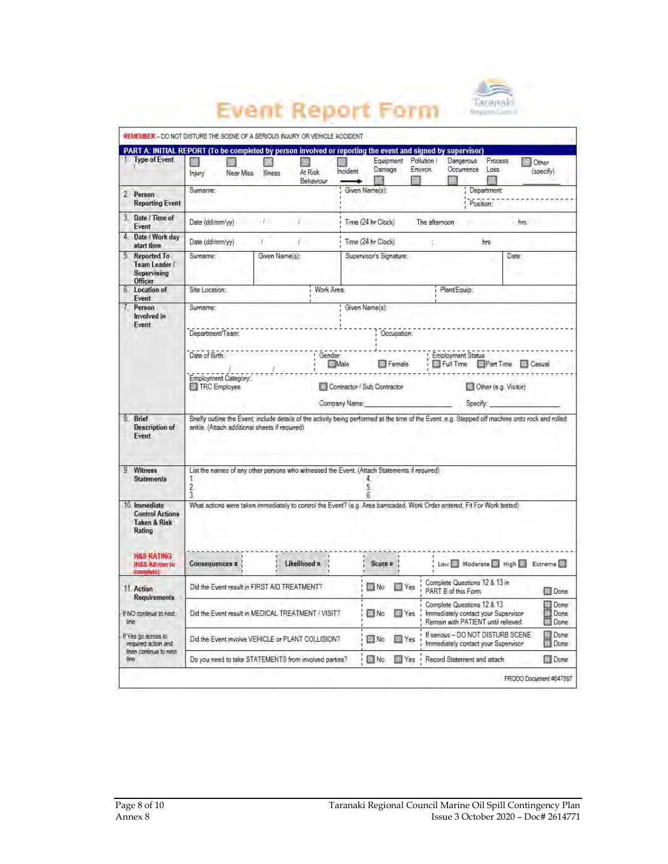

Other

(specify)

#### **Event Report Form** REMEMBER - DO NOT DISTURB THE SCENE OF A SERIOUS INJURY OR VEHICLE ACCIDENT PART A: INITIAL REPORT (To be completed by person involved or reporting the event and signed by supervisor)  $\Box$ <br>At Risk  $\Box$ Equipment Pollution /<br>Damage Environ. Dangerous Process  $\Box$  $\Box$ O Occurrence Loss Injury Near Miss Illness

|                                                                                                                                                   |                                               | Behaviour                                                                                                                                 |                                   |                       |                                       |                                                                                                          |                        |  |
|---------------------------------------------------------------------------------------------------------------------------------------------------|-----------------------------------------------|-------------------------------------------------------------------------------------------------------------------------------------------|-----------------------------------|-----------------------|---------------------------------------|----------------------------------------------------------------------------------------------------------|------------------------|--|
| 2. Person<br><b>Reporting Event</b>                                                                                                               | Surname:                                      |                                                                                                                                           | Given Name(s):                    |                       |                                       | Department:<br>Position:                                                                                 |                        |  |
| 3. Date / Time of<br>Event                                                                                                                        | Date (dd/mm/yy)                               | L                                                                                                                                         | Time (24 hr Clock)                |                       | The afternoon                         |                                                                                                          | hrs.                   |  |
| 4. Date / Work day<br>start time                                                                                                                  | Date (dd/mm/yy)                               |                                                                                                                                           | Time (24 hr Clock)                |                       | C)                                    | hrs                                                                                                      |                        |  |
| 5. Reported To<br>Team Leader /<br>Supervising<br>Officer                                                                                         | Surname:                                      | Given Name(s):                                                                                                                            | Supervisor's Signature:           |                       |                                       | Date:                                                                                                    |                        |  |
| 6 Location of<br>Event                                                                                                                            | Site Location:                                |                                                                                                                                           | Work Area:                        |                       | Plant/Equip:                          |                                                                                                          |                        |  |
| Person<br>Involved in<br>Event                                                                                                                    | Sumame:<br>Department/Team:<br>Date of Birth: |                                                                                                                                           | Given Name(s):<br>Gender:<br>Male | Occupation:<br>Female | <b>Employment Status</b><br>Full Time | Part Time <b>B</b> Casual                                                                                |                        |  |
|                                                                                                                                                   | TRC Employee                                  | Employment Category:<br>Contractor / Sub Contractor                                                                                       |                                   |                       |                                       | Other (e.g. Visitor)                                                                                     |                        |  |
|                                                                                                                                                   |                                               |                                                                                                                                           |                                   |                       | Company Name:<br>Specify:             |                                                                                                          |                        |  |
| Event<br>9 Witness<br><b>Statements</b>                                                                                                           | 1.<br>2.<br>ă                                 | List the names of any other persons who witnessed the Event. (Attach Statements if required)                                              | 5.                                |                       |                                       |                                                                                                          |                        |  |
| 10. Immediate<br><b>Control Actions</b><br><b>Taken &amp; Risk</b><br>Rating<br><b>H&amp;S RATING</b><br><b>IH&amp;S Adviser to</b><br>complete): | Consequences =                                | What actions were taken immediately to control the Event? (e.g. Area barricaded, Work Order entered. Fit For Work tested)<br>Likelihood = | $Score =$                         |                       |                                       | Low Moderate High Extreme                                                                                |                        |  |
| 11. Action<br><b>Requirements</b>                                                                                                                 |                                               | Did the Event result in FIRST AID TREATMENT?                                                                                              | $\Box$ No                         | $\Box$ Yes            | PART B of this Form                   | Complete Questions 12 & 13 in                                                                            | Oone                   |  |
| If NO continue to next:<br>line                                                                                                                   |                                               | Did the Event result in MEDICAL TREATMENT / VISIT?                                                                                        | $\n  No\n$                        | <b>Yes</b>            |                                       | Complete Questions 12 & 13<br>Immediately contact your Supervisor<br>Remain with PATIENT until relieved. | Done<br>Done<br>Done   |  |
| If Yes go across to<br>required action and                                                                                                        |                                               | Did the Event involve VEHICLE or PLANT COLLISION?                                                                                         | $\square$ No                      | <b>Nes</b>            |                                       | If senous - DO NOT DISTURB SCENE<br>Immediately contact your Supervisor                                  | Done<br>Done           |  |
| then continue to next<br>line                                                                                                                     |                                               | Do you need to take STATEMENTS from involved partes?                                                                                      | $\Box$ No                         | <b>Nes</b>            |                                       | Record Statement and attach                                                                              | Done                   |  |
|                                                                                                                                                   |                                               |                                                                                                                                           |                                   |                       |                                       |                                                                                                          | FRODO Document #847897 |  |
|                                                                                                                                                   |                                               |                                                                                                                                           |                                   |                       |                                       |                                                                                                          |                        |  |

Type of Event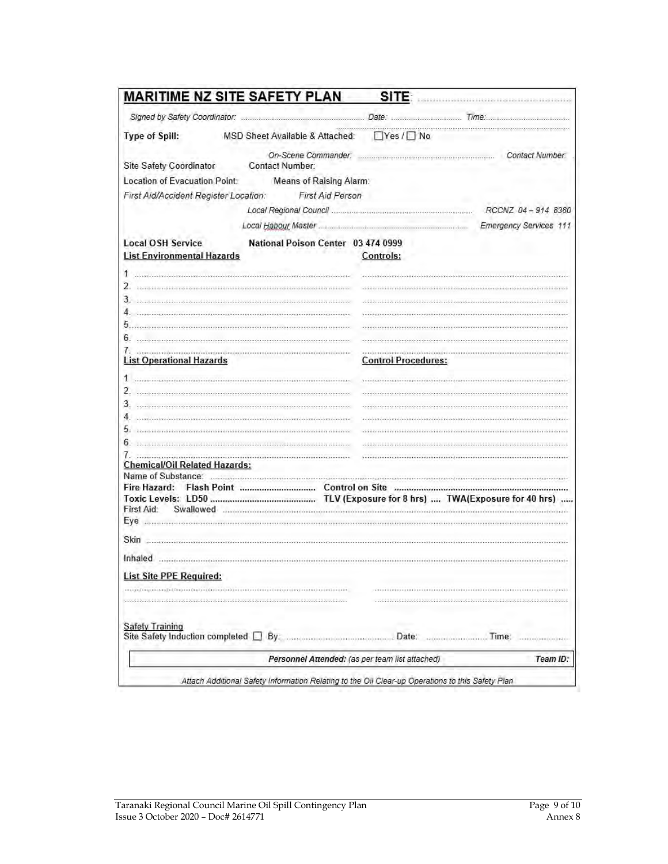|                                                                                                                                                                                                                                                                                                                                                                                                                                                                                                                                            | <b>MARITIME NZ SITE SAFETY PLAN</b>                                                                                                  | SITE:                      | 2004041603606031011603001001301100130100100100100                                                            |
|--------------------------------------------------------------------------------------------------------------------------------------------------------------------------------------------------------------------------------------------------------------------------------------------------------------------------------------------------------------------------------------------------------------------------------------------------------------------------------------------------------------------------------------------|--------------------------------------------------------------------------------------------------------------------------------------|----------------------------|--------------------------------------------------------------------------------------------------------------|
|                                                                                                                                                                                                                                                                                                                                                                                                                                                                                                                                            |                                                                                                                                      |                            |                                                                                                              |
| Type of Spill:                                                                                                                                                                                                                                                                                                                                                                                                                                                                                                                             | MSD Sheet Available & Attached: □ Yes / □ No                                                                                         |                            |                                                                                                              |
|                                                                                                                                                                                                                                                                                                                                                                                                                                                                                                                                            |                                                                                                                                      |                            |                                                                                                              |
| Site Safety Coordinator                                                                                                                                                                                                                                                                                                                                                                                                                                                                                                                    | Contact Number:                                                                                                                      |                            |                                                                                                              |
| Location of Evacuation Point:                                                                                                                                                                                                                                                                                                                                                                                                                                                                                                              | Means of Raising Alarm:                                                                                                              |                            |                                                                                                              |
| First Aid/Accident Register Location:                                                                                                                                                                                                                                                                                                                                                                                                                                                                                                      | First Aid Person<br><b>R.A.</b>                                                                                                      |                            |                                                                                                              |
|                                                                                                                                                                                                                                                                                                                                                                                                                                                                                                                                            |                                                                                                                                      |                            | RCCNZ 04-914 8360                                                                                            |
|                                                                                                                                                                                                                                                                                                                                                                                                                                                                                                                                            | Local Habour Master                                                                                                                  |                            | Emergency Services 111                                                                                       |
| <b>Local OSH Service</b><br><b>List Environmental Hazards</b>                                                                                                                                                                                                                                                                                                                                                                                                                                                                              | National Poison Center 03 474 0999                                                                                                   | Controls:                  |                                                                                                              |
| this continuous continuous com-                                                                                                                                                                                                                                                                                                                                                                                                                                                                                                            |                                                                                                                                      |                            |                                                                                                              |
| 2.                                                                                                                                                                                                                                                                                                                                                                                                                                                                                                                                         | - 0.0 . 200 0.0 . 2010 0.0 . 2010 0.0 . 2010 0.0 . 2010 0.0 . 2010 0.0 . 2010 0.0 . 2010 0.0 . 2010 0.0 . 2010 0.0 . 2010 0.0 . 2010 |                            |                                                                                                              |
|                                                                                                                                                                                                                                                                                                                                                                                                                                                                                                                                            |                                                                                                                                      |                            |                                                                                                              |
| 4                                                                                                                                                                                                                                                                                                                                                                                                                                                                                                                                          |                                                                                                                                      |                            |                                                                                                              |
| 5.                                                                                                                                                                                                                                                                                                                                                                                                                                                                                                                                         |                                                                                                                                      |                            |                                                                                                              |
| 6.                                                                                                                                                                                                                                                                                                                                                                                                                                                                                                                                         |                                                                                                                                      |                            |                                                                                                              |
| $\label{def:3} \begin{minipage}[t]{0.9\textwidth} \centering \begin{minipage}[t]{0.9\textwidth} \centering \begin{minipage}[t]{0.9\textwidth} \centering \end{minipage}[t]{0.9\textwidth} \centering \begin{minipage}[t]{0.9\textwidth} \centering \end{minipage}[t]{0.9\textwidth} \centering \begin{minipage}[t]{0.9\textwidth} \centering \end{minipage}[t]{0.9\textwidth} \centering \begin{minipage}[t]{0.9\textwidth} \centering \end{minipage}[t]{0.9\textwidth} \centering \begin{minipage}[t]{0.9\textwidth} \centering \end{min$ |                                                                                                                                      |                            |                                                                                                              |
| <b>List Operational Hazards</b>                                                                                                                                                                                                                                                                                                                                                                                                                                                                                                            |                                                                                                                                      | <b>Control Procedures:</b> |                                                                                                              |
| 1                                                                                                                                                                                                                                                                                                                                                                                                                                                                                                                                          |                                                                                                                                      |                            |                                                                                                              |
| 2                                                                                                                                                                                                                                                                                                                                                                                                                                                                                                                                          |                                                                                                                                      |                            |                                                                                                              |
| 3.                                                                                                                                                                                                                                                                                                                                                                                                                                                                                                                                         |                                                                                                                                      |                            |                                                                                                              |
| 4                                                                                                                                                                                                                                                                                                                                                                                                                                                                                                                                          |                                                                                                                                      |                            |                                                                                                              |
| 5.                                                                                                                                                                                                                                                                                                                                                                                                                                                                                                                                         | 8321006330106630110013011001303106633010663301068301064300106330106533010653301065330106533010                                       |                            | OE EB BOTTLE EB BIN DE EB BIN EE EB VIVOLE BROTTLE & JODG E EB BIN EE EB JODG EB BOTTLE EE BIN EE EB JONG EE |
| 6                                                                                                                                                                                                                                                                                                                                                                                                                                                                                                                                          | 1)  (1)  (1)  (1)  (1)  (1)  (1)  (1)  (1)  (1)  (1)  (1)  (1)  (1)  (1)  (1)                                                        |                            |                                                                                                              |
| 7.                                                                                                                                                                                                                                                                                                                                                                                                                                                                                                                                         |                                                                                                                                      |                            |                                                                                                              |
| <b>Chemical/Oil Related Hazards:</b>                                                                                                                                                                                                                                                                                                                                                                                                                                                                                                       |                                                                                                                                      |                            |                                                                                                              |
|                                                                                                                                                                                                                                                                                                                                                                                                                                                                                                                                            |                                                                                                                                      |                            |                                                                                                              |
|                                                                                                                                                                                                                                                                                                                                                                                                                                                                                                                                            |                                                                                                                                      |                            |                                                                                                              |
|                                                                                                                                                                                                                                                                                                                                                                                                                                                                                                                                            |                                                                                                                                      |                            |                                                                                                              |
| First Aid:<br>Swallowed                                                                                                                                                                                                                                                                                                                                                                                                                                                                                                                    |                                                                                                                                      |                            |                                                                                                              |
|                                                                                                                                                                                                                                                                                                                                                                                                                                                                                                                                            |                                                                                                                                      |                            |                                                                                                              |
|                                                                                                                                                                                                                                                                                                                                                                                                                                                                                                                                            |                                                                                                                                      |                            |                                                                                                              |
|                                                                                                                                                                                                                                                                                                                                                                                                                                                                                                                                            |                                                                                                                                      |                            |                                                                                                              |
| <b>List Site PPE Required:</b>                                                                                                                                                                                                                                                                                                                                                                                                                                                                                                             |                                                                                                                                      |                            |                                                                                                              |
|                                                                                                                                                                                                                                                                                                                                                                                                                                                                                                                                            |                                                                                                                                      |                            |                                                                                                              |
|                                                                                                                                                                                                                                                                                                                                                                                                                                                                                                                                            |                                                                                                                                      |                            |                                                                                                              |
| <b>Safety Training</b><br>Site Safety Induction completed [                                                                                                                                                                                                                                                                                                                                                                                                                                                                                | By:                                                                                                                                  | Date:                      | Time:                                                                                                        |
|                                                                                                                                                                                                                                                                                                                                                                                                                                                                                                                                            |                                                                                                                                      |                            |                                                                                                              |
|                                                                                                                                                                                                                                                                                                                                                                                                                                                                                                                                            | Personnel Attended: (as per team list attached)                                                                                      |                            | Team ID:                                                                                                     |